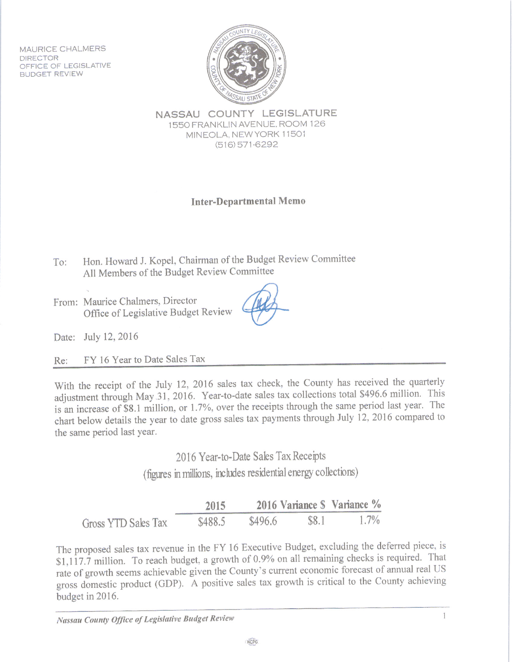MAURICE CHALMERS DIRECTOR OFFICE OF LEGISLATIVE **BUDGET REVIEW** 



NASSAU COUNTY LEGISLATURE 1550 FRANKLIN AVENUE. ROOM 126 MINEOLA, NEW YORK 11501  $(516)571-6292$ 

**Inter-Departmental Memo** 

Hon. Howard J. Kopel, Chairman of the Budget Review Committee  $To:$ All Members of the Budget Review Committee

From: Maurice Chalmers, Director Office of Legislative Budget Review

Date: July 12, 2016

FY 16 Year to Date Sales Tax Re:

With the receipt of the July 12, 2016 sales tax check, the County has received the quarterly adjustment through May 31, 2016. Year-to-date sales tax collections total \$496.6 million. This is an increase of \$8.1 million, or 1.7%, over the receipts through the same period last year. The chart below details the year to date gross sales tax payments through July 12, 2016 compared to the same period last year.

> 2016 Year-to-Date Sales Tax Receipts (figures in millions, includes residential energy collections)

|                     | 2015    |         |       | 2016 Variance S Variance % |
|---------------------|---------|---------|-------|----------------------------|
| Gross YTD Sales Tax | \$488.5 | \$496.6 | \$8.1 | $1.7\%$                    |

The proposed sales tax revenue in the FY 16 Executive Budget, excluding the deferred piece, is \$1,117.7 million. To reach budget, a growth of 0.9% on all remaining checks is required. That rate of growth seems achievable given the County's current economic forecast of annual real US gross domestic product (GDP). A positive sales tax growth is critical to the County achieving budget in 2016.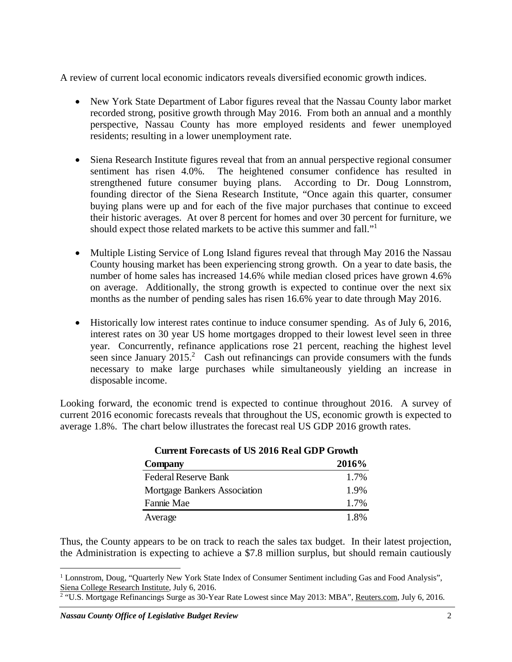A review of current local economic indicators reveals diversified economic growth indices.

- New York State Department of Labor figures reveal that the Nassau County labor market recorded strong, positive growth through May 2016. From both an annual and a monthly perspective, Nassau County has more employed residents and fewer unemployed residents; resulting in a lower unemployment rate.
- Siena Research Institute figures reveal that from an annual perspective regional consumer sentiment has risen 4.0%. The heightened consumer confidence has resulted in strengthened future consumer buying plans. According to Dr. Doug Lonnstrom, founding director of the Siena Research Institute, "Once again this quarter, consumer buying plans were up and for each of the five major purchases that continue to exceed their historic averages. At over 8 percent for homes and over 30 percent for furniture, we should expect those related markets to be active this summer and fall."<sup>1</sup>
- Multiple Listing Service of Long Island figures reveal that through May 2016 the Nassau County housing market has been experiencing strong growth. On a year to date basis, the number of home sales has increased 14.6% while median closed prices have grown 4.6% on average. Additionally, the strong growth is expected to continue over the next six months as the number of pending sales has risen 16.6% year to date through May 2016.
- Historically low interest rates continue to induce consumer spending. As of July 6, 2016, interest rates on 30 year US home mortgages dropped to their lowest level seen in three year. Concurrently, refinance applications rose 21 percent, reaching the highest level seen since January  $2015<sup>2</sup>$  Cash out refinancings can provide consumers with the funds necessary to make large purchases while simultaneously yielding an increase in disposable income.

Looking forward, the economic trend is expected to continue throughout 2016. A survey of current 2016 economic forecasts reveals that throughout the US, economic growth is expected to average 1.8%. The chart below illustrates the forecast real US GDP 2016 growth rates.

| Cancil Folcasis of CS 2010 Real ODT OROMA |       |
|-------------------------------------------|-------|
| Company                                   | 2016% |
| <b>Federal Reserve Bank</b>               | 1.7%  |
| Mortgage Bankers Association              | 1.9%  |
| Fannie Mae                                | 1.7%  |
| Average                                   | 1.8%  |

## **Current Forecasts of US 2016 Real GDP Growth**

Thus, the County appears to be on track to reach the sales tax budget. In their latest projection, the Administration is expecting to achieve a \$7.8 million surplus, but should remain cautiously

1

<sup>&</sup>lt;sup>1</sup> Lonnstrom, Doug, "Quarterly New York State Index of Consumer Sentiment including Gas and Food Analysis",

Siena College Research Institute, July 6, 2016.<br><sup>2</sup> "U.S. Mortgage Refinancings Surge as 30-Year Rate Lowest since May 2013: MBA", <u>Reuters.com</u>, July 6, 2016.